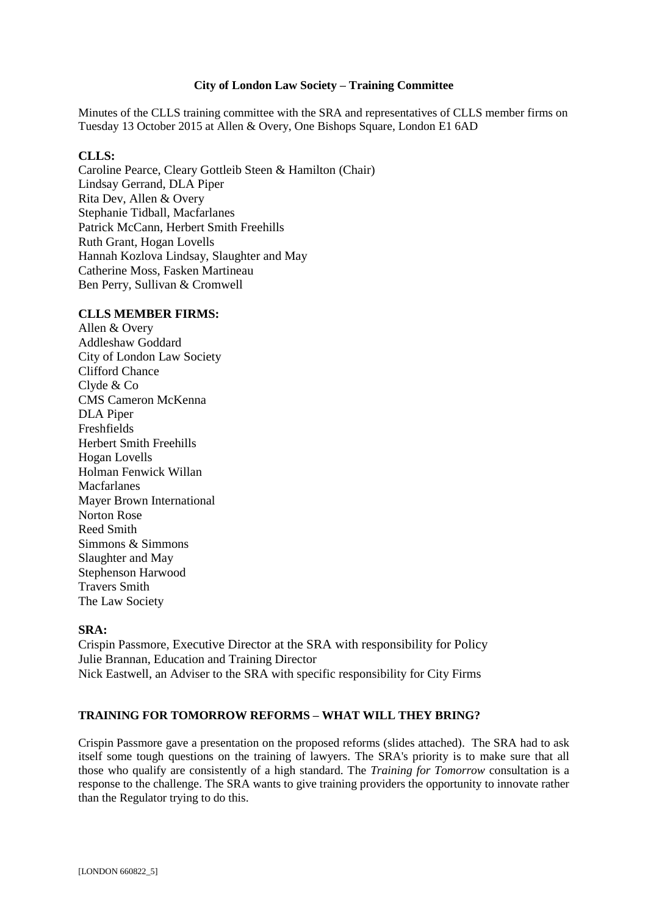## **City of London Law Society – Training Committee**

Minutes of the CLLS training committee with the SRA and representatives of CLLS member firms on Tuesday 13 October 2015 at Allen & Overy, One Bishops Square, London E1 6AD

## **CLLS:**

Caroline Pearce, Cleary Gottleib Steen & Hamilton (Chair) Lindsay Gerrand, DLA Piper Rita Dev, Allen & Overy Stephanie Tidball, Macfarlanes Patrick McCann, Herbert Smith Freehills Ruth Grant, Hogan Lovells Hannah Kozlova Lindsay, Slaughter and May Catherine Moss, Fasken Martineau Ben Perry, Sullivan & Cromwell

#### **CLLS MEMBER FIRMS:**

Allen & Overy Addleshaw Goddard City of London Law Society Clifford Chance Clyde & Co CMS Cameron McKenna DLA Piper Freshfields Herbert Smith Freehills Hogan Lovells Holman Fenwick Willan Macfarlanes Mayer Brown International Norton Rose Reed Smith Simmons & Simmons Slaughter and May Stephenson Harwood Travers Smith The Law Society

#### **SRA:**

Crispin Passmore, Executive Director at the SRA with responsibility for Policy Julie Brannan, Education and Training Director Nick Eastwell, an Adviser to the SRA with specific responsibility for City Firms

# **TRAINING FOR TOMORROW REFORMS – WHAT WILL THEY BRING?**

Crispin Passmore gave a presentation on the proposed reforms (slides attached). The SRA had to ask itself some tough questions on the training of lawyers. The SRA's priority is to make sure that all those who qualify are consistently of a high standard. The *Training for Tomorrow* consultation is a response to the challenge. The SRA wants to give training providers the opportunity to innovate rather than the Regulator trying to do this.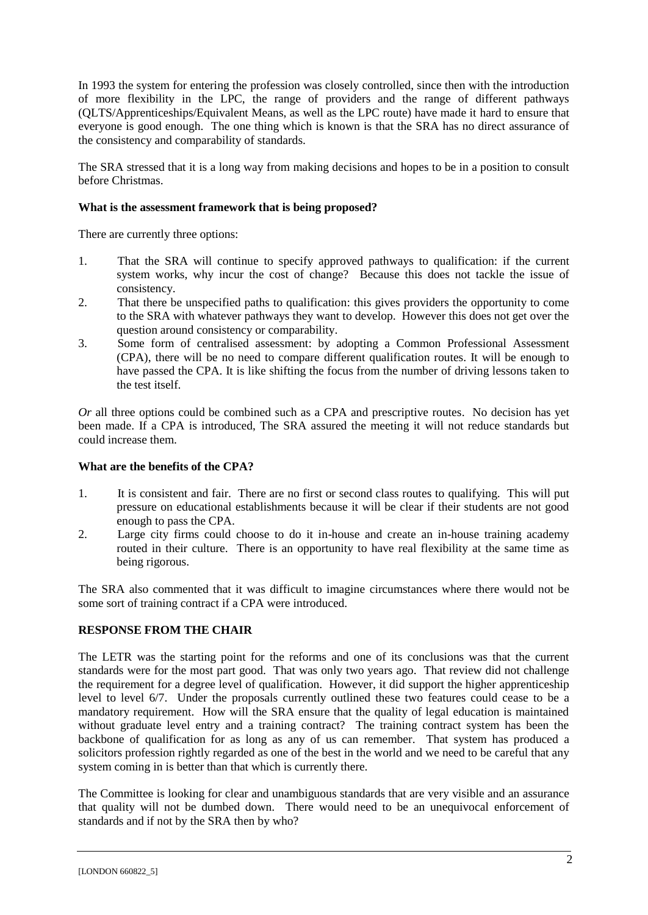In 1993 the system for entering the profession was closely controlled, since then with the introduction of more flexibility in the LPC, the range of providers and the range of different pathways (QLTS/Apprenticeships/Equivalent Means, as well as the LPC route) have made it hard to ensure that everyone is good enough. The one thing which is known is that the SRA has no direct assurance of the consistency and comparability of standards.

The SRA stressed that it is a long way from making decisions and hopes to be in a position to consult before Christmas.

# **What is the assessment framework that is being proposed?**

There are currently three options:

- 1. That the SRA will continue to specify approved pathways to qualification: if the current system works, why incur the cost of change? Because this does not tackle the issue of consistency.
- 2. That there be unspecified paths to qualification: this gives providers the opportunity to come to the SRA with whatever pathways they want to develop. However this does not get over the question around consistency or comparability.
- 3. Some form of centralised assessment: by adopting a Common Professional Assessment (CPA), there will be no need to compare different qualification routes. It will be enough to have passed the CPA. It is like shifting the focus from the number of driving lessons taken to the test itself.

*Or* all three options could be combined such as a CPA and prescriptive routes. No decision has yet been made. If a CPA is introduced, The SRA assured the meeting it will not reduce standards but could increase them.

# **What are the benefits of the CPA?**

- 1. It is consistent and fair. There are no first or second class routes to qualifying. This will put pressure on educational establishments because it will be clear if their students are not good enough to pass the CPA.
- 2. Large city firms could choose to do it in-house and create an in-house training academy routed in their culture. There is an opportunity to have real flexibility at the same time as being rigorous.

The SRA also commented that it was difficult to imagine circumstances where there would not be some sort of training contract if a CPA were introduced.

# **RESPONSE FROM THE CHAIR**

The LETR was the starting point for the reforms and one of its conclusions was that the current standards were for the most part good. That was only two years ago. That review did not challenge the requirement for a degree level of qualification. However, it did support the higher apprenticeship level to level 6/7. Under the proposals currently outlined these two features could cease to be a mandatory requirement. How will the SRA ensure that the quality of legal education is maintained without graduate level entry and a training contract? The training contract system has been the backbone of qualification for as long as any of us can remember. That system has produced a solicitors profession rightly regarded as one of the best in the world and we need to be careful that any system coming in is better than that which is currently there.

The Committee is looking for clear and unambiguous standards that are very visible and an assurance that quality will not be dumbed down. There would need to be an unequivocal enforcement of standards and if not by the SRA then by who?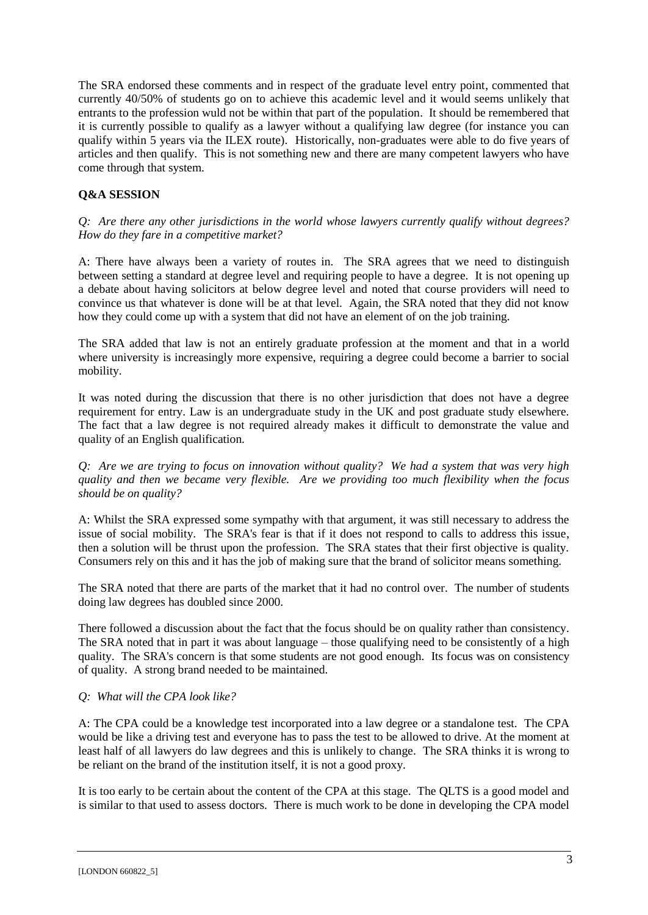The SRA endorsed these comments and in respect of the graduate level entry point, commented that currently 40/50% of students go on to achieve this academic level and it would seems unlikely that entrants to the profession wuld not be within that part of the population. It should be remembered that it is currently possible to qualify as a lawyer without a qualifying law degree (for instance you can qualify within 5 years via the ILEX route). Historically, non-graduates were able to do five years of articles and then qualify. This is not something new and there are many competent lawyers who have come through that system.

# **Q&A SESSION**

*Q: Are there any other jurisdictions in the world whose lawyers currently qualify without degrees? How do they fare in a competitive market?*

A: There have always been a variety of routes in. The SRA agrees that we need to distinguish between setting a standard at degree level and requiring people to have a degree. It is not opening up a debate about having solicitors at below degree level and noted that course providers will need to convince us that whatever is done will be at that level. Again, the SRA noted that they did not know how they could come up with a system that did not have an element of on the job training.

The SRA added that law is not an entirely graduate profession at the moment and that in a world where university is increasingly more expensive, requiring a degree could become a barrier to social mobility.

It was noted during the discussion that there is no other jurisdiction that does not have a degree requirement for entry. Law is an undergraduate study in the UK and post graduate study elsewhere. The fact that a law degree is not required already makes it difficult to demonstrate the value and quality of an English qualification.

*Q: Are we are trying to focus on innovation without quality? We had a system that was very high quality and then we became very flexible. Are we providing too much flexibility when the focus should be on quality?* 

A: Whilst the SRA expressed some sympathy with that argument, it was still necessary to address the issue of social mobility. The SRA's fear is that if it does not respond to calls to address this issue, then a solution will be thrust upon the profession. The SRA states that their first objective is quality. Consumers rely on this and it has the job of making sure that the brand of solicitor means something.

The SRA noted that there are parts of the market that it had no control over. The number of students doing law degrees has doubled since 2000.

There followed a discussion about the fact that the focus should be on quality rather than consistency. The SRA noted that in part it was about language – those qualifying need to be consistently of a high quality. The SRA's concern is that some students are not good enough. Its focus was on consistency of quality. A strong brand needed to be maintained.

# *Q: What will the CPA look like?*

A: The CPA could be a knowledge test incorporated into a law degree or a standalone test. The CPA would be like a driving test and everyone has to pass the test to be allowed to drive. At the moment at least half of all lawyers do law degrees and this is unlikely to change. The SRA thinks it is wrong to be reliant on the brand of the institution itself, it is not a good proxy.

It is too early to be certain about the content of the CPA at this stage. The QLTS is a good model and is similar to that used to assess doctors. There is much work to be done in developing the CPA model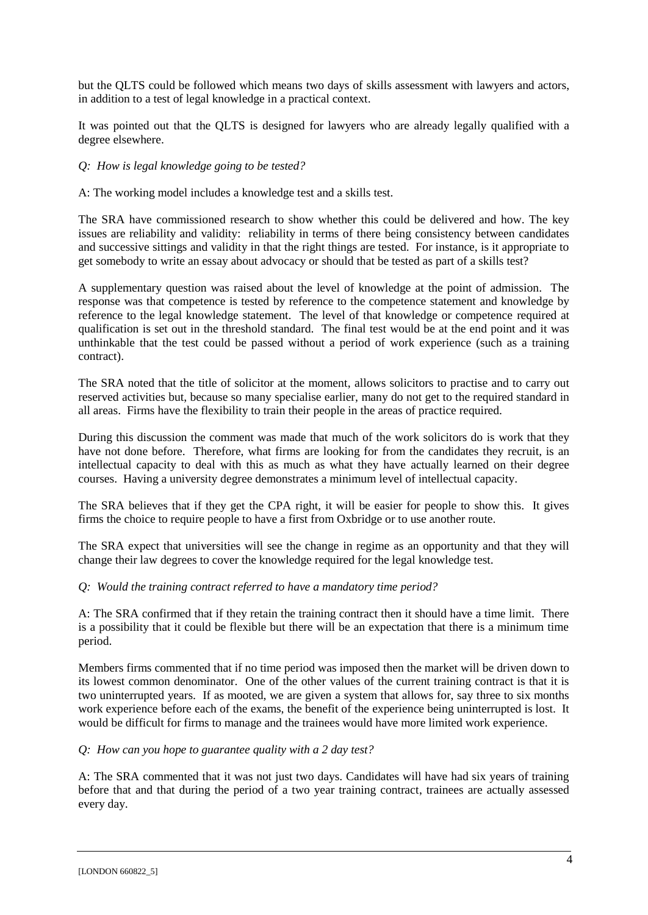but the QLTS could be followed which means two days of skills assessment with lawyers and actors, in addition to a test of legal knowledge in a practical context.

It was pointed out that the QLTS is designed for lawyers who are already legally qualified with a degree elsewhere.

# *Q: How is legal knowledge going to be tested?*

A: The working model includes a knowledge test and a skills test.

The SRA have commissioned research to show whether this could be delivered and how. The key issues are reliability and validity: reliability in terms of there being consistency between candidates and successive sittings and validity in that the right things are tested. For instance, is it appropriate to get somebody to write an essay about advocacy or should that be tested as part of a skills test?

A supplementary question was raised about the level of knowledge at the point of admission. The response was that competence is tested by reference to the competence statement and knowledge by reference to the legal knowledge statement. The level of that knowledge or competence required at qualification is set out in the threshold standard. The final test would be at the end point and it was unthinkable that the test could be passed without a period of work experience (such as a training contract).

The SRA noted that the title of solicitor at the moment, allows solicitors to practise and to carry out reserved activities but, because so many specialise earlier, many do not get to the required standard in all areas. Firms have the flexibility to train their people in the areas of practice required.

During this discussion the comment was made that much of the work solicitors do is work that they have not done before. Therefore, what firms are looking for from the candidates they recruit, is an intellectual capacity to deal with this as much as what they have actually learned on their degree courses. Having a university degree demonstrates a minimum level of intellectual capacity.

The SRA believes that if they get the CPA right, it will be easier for people to show this. It gives firms the choice to require people to have a first from Oxbridge or to use another route.

The SRA expect that universities will see the change in regime as an opportunity and that they will change their law degrees to cover the knowledge required for the legal knowledge test.

# *Q: Would the training contract referred to have a mandatory time period?*

A: The SRA confirmed that if they retain the training contract then it should have a time limit. There is a possibility that it could be flexible but there will be an expectation that there is a minimum time period.

Members firms commented that if no time period was imposed then the market will be driven down to its lowest common denominator. One of the other values of the current training contract is that it is two uninterrupted years. If as mooted, we are given a system that allows for, say three to six months work experience before each of the exams, the benefit of the experience being uninterrupted is lost. It would be difficult for firms to manage and the trainees would have more limited work experience.

# *Q: How can you hope to guarantee quality with a 2 day test?*

A: The SRA commented that it was not just two days. Candidates will have had six years of training before that and that during the period of a two year training contract, trainees are actually assessed every day.